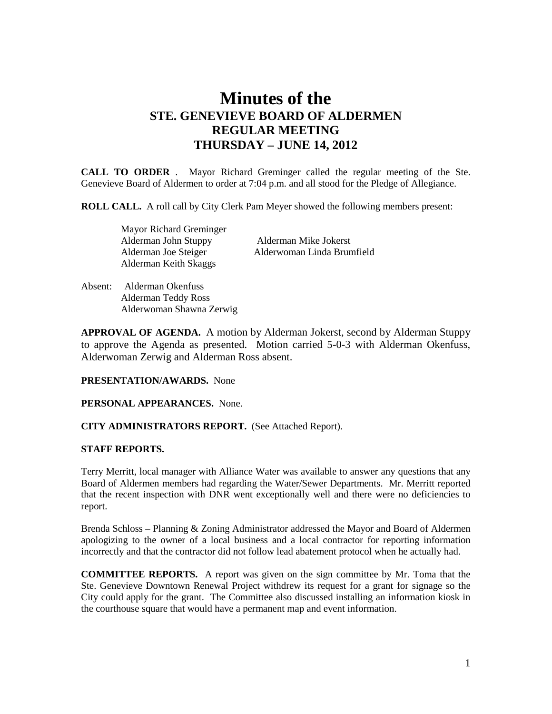# **Minutes of the STE. GENEVIEVE BOARD OF ALDERMEN REGULAR MEETING THURSDAY – JUNE 14, 2012**

**CALL TO ORDER** . Mayor Richard Greminger called the regular meeting of the Ste. Genevieve Board of Aldermen to order at 7:04 p.m. and all stood for the Pledge of Allegiance.

**ROLL CALL.** A roll call by City Clerk Pam Meyer showed the following members present:

 Mayor Richard Greminger Alderman Keith Skaggs

 Alderman John Stuppy Alderman Mike Jokerst Alderman Joe Steiger Alderwoman Linda Brumfield

Absent: Alderman Okenfuss Alderman Teddy Ross Alderwoman Shawna Zerwig

**APPROVAL OF AGENDA.** A motion by Alderman Jokerst, second by Alderman Stuppy to approve the Agenda as presented. Motion carried 5-0-3 with Alderman Okenfuss, Alderwoman Zerwig and Alderman Ross absent.

### **PRESENTATION/AWARDS.** None

**PERSONAL APPEARANCES.** None.

### **CITY ADMINISTRATORS REPORT.** (See Attached Report).

#### **STAFF REPORTS.**

Terry Merritt, local manager with Alliance Water was available to answer any questions that any Board of Aldermen members had regarding the Water/Sewer Departments. Mr. Merritt reported that the recent inspection with DNR went exceptionally well and there were no deficiencies to report.

Brenda Schloss – Planning & Zoning Administrator addressed the Mayor and Board of Aldermen apologizing to the owner of a local business and a local contractor for reporting information incorrectly and that the contractor did not follow lead abatement protocol when he actually had.

**COMMITTEE REPORTS.** A report was given on the sign committee by Mr. Toma that the Ste. Genevieve Downtown Renewal Project withdrew its request for a grant for signage so the City could apply for the grant. The Committee also discussed installing an information kiosk in the courthouse square that would have a permanent map and event information.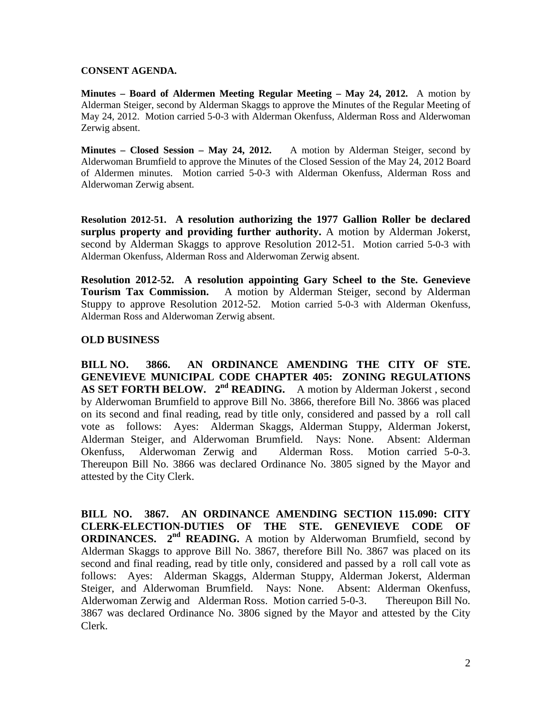### **CONSENT AGENDA.**

**Minutes – Board of Aldermen Meeting Regular Meeting – May 24, 2012.** A motion by Alderman Steiger, second by Alderman Skaggs to approve the Minutes of the Regular Meeting of May 24, 2012. Motion carried 5-0-3 with Alderman Okenfuss, Alderman Ross and Alderwoman Zerwig absent.

**Minutes – Closed Session – May 24, 2012.** A motion by Alderman Steiger, second by Alderwoman Brumfield to approve the Minutes of the Closed Session of the May 24, 2012 Board of Aldermen minutes. Motion carried 5-0-3 with Alderman Okenfuss, Alderman Ross and Alderwoman Zerwig absent.

**Resolution 2012-51. A resolution authorizing the 1977 Gallion Roller be declared surplus property and providing further authority.** A motion by Alderman Jokerst, second by Alderman Skaggs to approve Resolution 2012-51. Motion carried 5-0-3 with Alderman Okenfuss, Alderman Ross and Alderwoman Zerwig absent.

**Resolution 2012-52. A resolution appointing Gary Scheel to the Ste. Genevieve Tourism Tax Commission.** A motion by Alderman Steiger, second by Alderman Stuppy to approve Resolution 2012-52. Motion carried 5-0-3 with Alderman Okenfuss, Alderman Ross and Alderwoman Zerwig absent.

# **OLD BUSINESS**

**BILL NO. 3866. AN ORDINANCE AMENDING THE CITY OF STE. GENEVIEVE MUNICIPAL CODE CHAPTER 405: ZONING REGULATIONS**  AS SET FORTH BELOW. 2<sup>nd</sup> READING. A motion by Alderman Jokerst, second by Alderwoman Brumfield to approve Bill No. 3866, therefore Bill No. 3866 was placed on its second and final reading, read by title only, considered and passed by a roll call vote as follows: Ayes: Alderman Skaggs, Alderman Stuppy, Alderman Jokerst, Alderman Steiger, and Alderwoman Brumfield. Nays: None. Absent: Alderman Okenfuss, Alderwoman Zerwig and Alderman Ross. Motion carried 5-0-3. Thereupon Bill No. 3866 was declared Ordinance No. 3805 signed by the Mayor and attested by the City Clerk.

**BILL NO. 3867. AN ORDINANCE AMENDING SECTION 115.090: CITY CLERK-ELECTION-DUTIES OF THE STE. GENEVIEVE CODE OF ORDINANCES.** 2<sup>nd</sup> **READING.** A motion by Alderwoman Brumfield, second by Alderman Skaggs to approve Bill No. 3867, therefore Bill No. 3867 was placed on its second and final reading, read by title only, considered and passed by a roll call vote as follows: Ayes: Alderman Skaggs, Alderman Stuppy, Alderman Jokerst, Alderman Steiger, and Alderwoman Brumfield. Nays: None. Absent: Alderman Okenfuss, Alderwoman Zerwig and Alderman Ross. Motion carried 5-0-3. Thereupon Bill No. 3867 was declared Ordinance No. 3806 signed by the Mayor and attested by the City Clerk.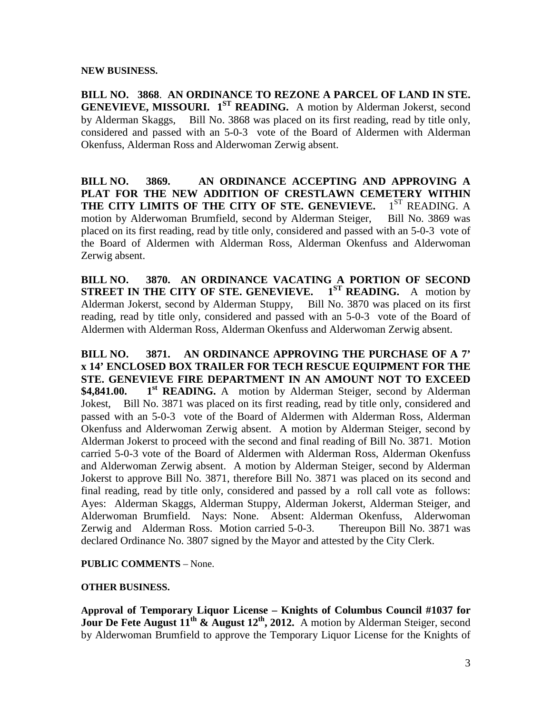### **NEW BUSINESS.**

**BILL NO. 3868**. **AN ORDINANCE TO REZONE A PARCEL OF LAND IN STE. GENEVIEVE, MISSOURI.** 1<sup>ST</sup> **READING.** A motion by Alderman Jokerst, second by Alderman Skaggs, Bill No. 3868 was placed on its first reading, read by title only, considered and passed with an 5-0-3 vote of the Board of Aldermen with Alderman Okenfuss, Alderman Ross and Alderwoman Zerwig absent.

**BILL NO. 3869. AN ORDINANCE ACCEPTING AND APPROVING A PLAT FOR THE NEW ADDITION OF CRESTLAWN CEMETERY WITHIN THE CITY LIMITS OF THE CITY OF STE. GENEVIEVE.** 1<sup>ST</sup> READING. A THE CITY LIMITS OF THE CITY OF STE. GENEVIEVE. motion by Alderwoman Brumfield, second by Alderman Steiger, Bill No. 3869 was placed on its first reading, read by title only, considered and passed with an 5-0-3 vote of the Board of Aldermen with Alderman Ross, Alderman Okenfuss and Alderwoman Zerwig absent.

**BILL NO. 3870. AN ORDINANCE VACATING A PORTION OF SECOND STREET IN THE CITY OF STE. GENEVIEVE.** 1<sup>ST</sup> **READING.** A motion by Alderman Jokerst, second by Alderman Stuppy, Bill No. 3870 was placed on its first reading, read by title only, considered and passed with an 5-0-3 vote of the Board of Aldermen with Alderman Ross, Alderman Okenfuss and Alderwoman Zerwig absent.

**BILL NO. 3871. AN ORDINANCE APPROVING THE PURCHASE OF A 7' x 14' ENCLOSED BOX TRAILER FOR TECH RESCUE EQUIPMENT FOR THE STE. GENEVIEVE FIRE DEPARTMENT IN AN AMOUNT NOT TO EXCEED \$4,841.00.** 1<sup>st</sup> **READING.** A motion by Alderman Steiger, second by Alderman Jokest, Bill No. 3871 was placed on its first reading, read by title only, considered and passed with an 5-0-3 vote of the Board of Aldermen with Alderman Ross, Alderman Okenfuss and Alderwoman Zerwig absent. A motion by Alderman Steiger, second by Alderman Jokerst to proceed with the second and final reading of Bill No. 3871. Motion carried 5-0-3 vote of the Board of Aldermen with Alderman Ross, Alderman Okenfuss and Alderwoman Zerwig absent. A motion by Alderman Steiger, second by Alderman Jokerst to approve Bill No. 3871, therefore Bill No. 3871 was placed on its second and final reading, read by title only, considered and passed by a roll call vote as follows: Ayes: Alderman Skaggs, Alderman Stuppy, Alderman Jokerst, Alderman Steiger, and Alderwoman Brumfield. Nays: None. Absent: Alderman Okenfuss, Alderwoman Zerwig and Alderman Ross. Motion carried 5-0-3. Thereupon Bill No. 3871 was declared Ordinance No. 3807 signed by the Mayor and attested by the City Clerk.

# **PUBLIC COMMENTS** – None.

# **OTHER BUSINESS.**

**Approval of Temporary Liquor License – Knights of Columbus Council #1037 for Jour De Fete August 11th & August 12th, 2012.** A motion by Alderman Steiger, second by Alderwoman Brumfield to approve the Temporary Liquor License for the Knights of